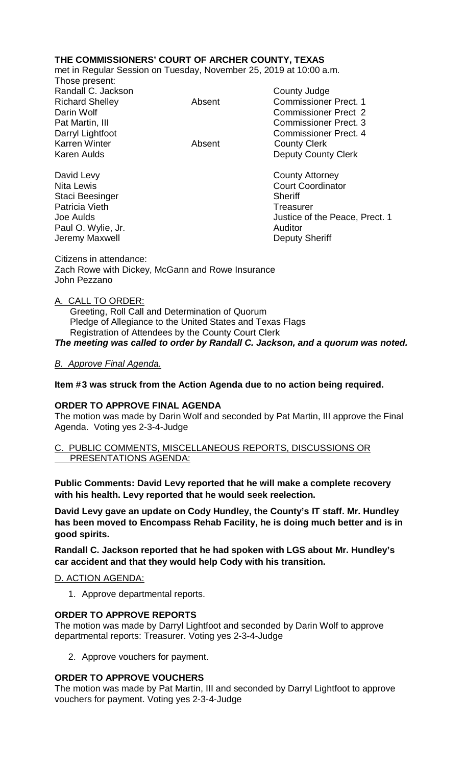# **THE COMMISSIONERS' COURT OF ARCHER COUNTY, TEXAS**

met in Regular Session on Tuesday, November 25, 2019 at 10:00 a.m.

Those present: Randall C. Jackson County Judge Richard Shelley **Absent** Commissioner Prect. 1 Darin Wolf Commissioner Prect 2 Pat Martin, III Commissioner Prect. 3 Darryl Lightfoot **Commissioner Prect. 4** Karren Winter **Absent** County Clerk Karen Aulds **Deputy County Clerk** 

David Levy **County Attorney** Staci Beesinger Sheriff Patricia Vieth Treasurer Paul O. Wylie, Jr. **Auditor Paul O. Wylie, Jr. Auditor** Jeremy Maxwell **Deputy Sheriff** 

Nita Lewis **Court Coordinator** Court Coordinator Joe Aulds Justice of the Peace, Prect. 1

Citizens in attendance: Zach Rowe with Dickey, McGann and Rowe Insurance John Pezzano

### A. CALL TO ORDER:

 Greeting, Roll Call and Determination of Quorum Pledge of Allegiance to the United States and Texas Flags Registration of Attendees by the County Court Clerk *The meeting was called to order by Randall C. Jackson, and a quorum was noted.*

### *B. Approve Final Agenda.*

### **Item #3 was struck from the Action Agenda due to no action being required.**

#### **ORDER TO APPROVE FINAL AGENDA**

The motion was made by Darin Wolf and seconded by Pat Martin, III approve the Final Agenda. Voting yes 2-3-4-Judge

C. PUBLIC COMMENTS, MISCELLANEOUS REPORTS, DISCUSSIONS OR PRESENTATIONS AGENDA:

**Public Comments: David Levy reported that he will make a complete recovery with his health. Levy reported that he would seek reelection.**

**David Levy gave an update on Cody Hundley, the County's IT staff. Mr. Hundley has been moved to Encompass Rehab Facility, he is doing much better and is in good spirits.**

**Randall C. Jackson reported that he had spoken with LGS about Mr. Hundley's car accident and that they would help Cody with his transition.**

## D. ACTION AGENDA:

1. Approve departmental reports.

#### **ORDER TO APPROVE REPORTS**

The motion was made by Darryl Lightfoot and seconded by Darin Wolf to approve departmental reports: Treasurer. Voting yes 2-3-4-Judge

2. Approve vouchers for payment.

## **ORDER TO APPROVE VOUCHERS**

The motion was made by Pat Martin, III and seconded by Darryl Lightfoot to approve vouchers for payment. Voting yes 2-3-4-Judge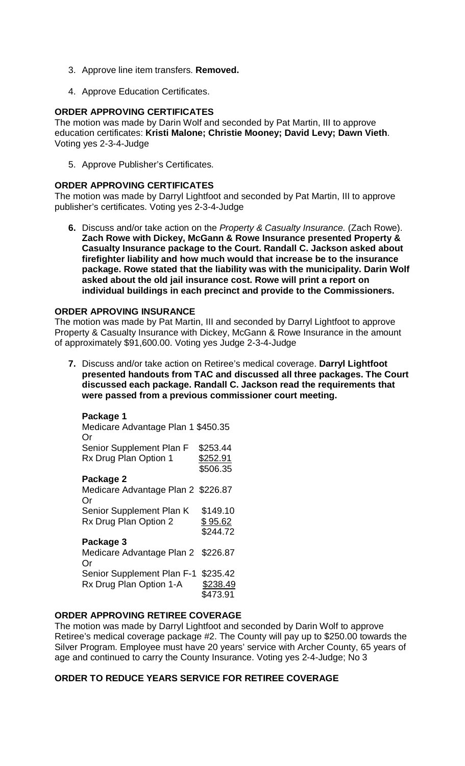- 3. Approve line item transfers. **Removed.**
- 4. Approve Education Certificates.

### **ORDER APPROVING CERTIFICATES**

The motion was made by Darin Wolf and seconded by Pat Martin, III to approve education certificates: **Kristi Malone; Christie Mooney; David Levy; Dawn Vieth**. Voting yes 2-3-4-Judge

5. Approve Publisher's Certificates.

#### **ORDER APPROVING CERTIFICATES**

The motion was made by Darryl Lightfoot and seconded by Pat Martin, III to approve publisher's certificates. Voting yes 2-3-4-Judge

**6.** Discuss and/or take action on the *Property & Casualty Insurance.* (Zach Rowe). **Zach Rowe with Dickey, McGann & Rowe Insurance presented Property & Casualty Insurance package to the Court. Randall C. Jackson asked about firefighter liability and how much would that increase be to the insurance package. Rowe stated that the liability was with the municipality. Darin Wolf asked about the old jail insurance cost. Rowe will print a report on individual buildings in each precinct and provide to the Commissioners.**

### **ORDER APROVING INSURANCE**

The motion was made by Pat Martin, III and seconded by Darryl Lightfoot to approve Property & Casualty Insurance with Dickey, McGann & Rowe Insurance in the amount of approximately \$91,600.00. Voting yes Judge 2-3-4-Judge

**7.** Discuss and/or take action on Retiree's medical coverage. **Darryl Lightfoot presented handouts from TAC and discussed all three packages. The Court discussed each package. Randall C. Jackson read the requirements that were passed from a previous commissioner court meeting.** 

#### **Package 1**

Medicare Advantage Plan 1 \$450.35 Or Senior Supplement Plan F \$253.44<br>Rx Drug Plan Option 1 \$252.91 Rx Drug Plan Option 1 \$506.35 **Package 2** Medicare Advantage Plan 2 \$226.87 Or Senior Supplement Plan K \$149.10 Rx Drug Plan Option  $2$  \$95.62 \$244.72 **Package 3** Medicare Advantage Plan 2 \$226.87 Or Senior Supplement Plan F-1 \$235.42 Rx Drug Plan Option 1-A \$238.49 \$473.91

### **ORDER APPROVING RETIREE COVERAGE**

The motion was made by Darryl Lightfoot and seconded by Darin Wolf to approve Retiree's medical coverage package #2. The County will pay up to \$250.00 towards the Silver Program. Employee must have 20 years' service with Archer County, 65 years of age and continued to carry the County Insurance. Voting yes 2-4-Judge; No 3

## **ORDER TO REDUCE YEARS SERVICE FOR RETIREE COVERAGE**